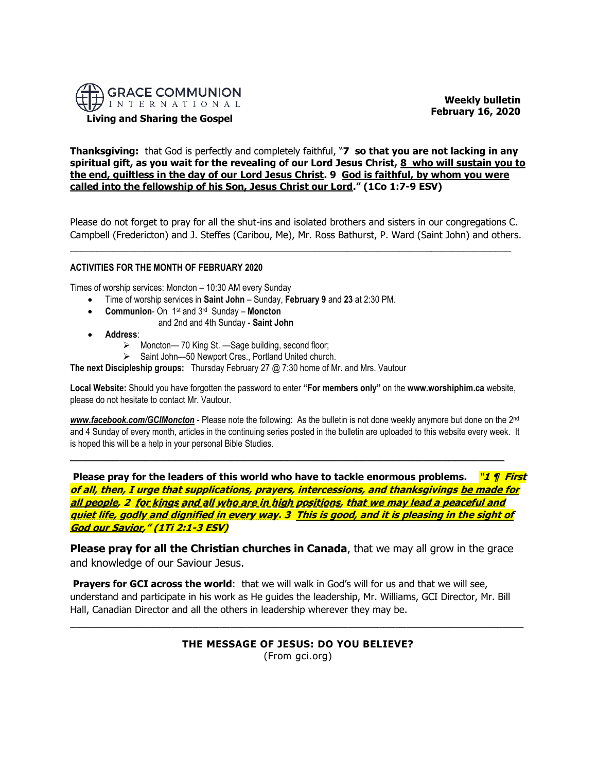

**Living and Sharing the Gospel**

 **Weekly bulletin February 16, 2020** 

**Thanksgiving:** that God is perfectly and completely faithful, "**7 so that you are not lacking in any spiritual gift, as you wait for the revealing of our Lord Jesus Christ, 8 who will sustain you to the end, guiltless in the day of our Lord Jesus Christ. 9 God is faithful, by whom you were called into the fellowship of his Son, Jesus Christ our Lord." (1Co 1:7-9 ESV)**

Please do not forget to pray for all the shut-ins and isolated brothers and sisters in our congregations C. Campbell (Fredericton) and J. Steffes (Caribou, Me), Mr. Ross Bathurst, P. Ward (Saint John) and others.

 $\_$  , and the set of the set of the set of the set of the set of the set of the set of the set of the set of the set of the set of the set of the set of the set of the set of the set of the set of the set of the set of th

## **ACTIVITIES FOR THE MONTH OF FEBRUARY 2020**

Times of worship services: Moncton – 10:30 AM every Sunday

- Time of worship services in **Saint John** Sunday, **February 9** and **23** at 2:30 PM.
- **Communion** On 1<sup>st</sup> and 3<sup>rd</sup> Sunday **Moncton** 
	- and 2nd and 4th Sunday **Saint John**
- **Address**:
	- ➢ Moncton— 70 King St. —Sage building, second floor;
	- ➢ Saint John—50 Newport Cres., Portland United church.

**The next Discipleship groups:** Thursday February 27 @ 7:30 home of Mr. and Mrs. Vautour

**Local Website:** Should you have forgotten the password to enter **"For members only"** on the **www.worshiphim.ca** website, please do not hesitate to contact Mr. Vautour.

*[www.facebook.com/GCIMoncton](http://www.facebook.com/GCIMoncton)* - Please note the following: As the bulletin is not done weekly anymore but done on the 2nd and 4 Sunday of every month, articles in the continuing series posted in the bulletin are uploaded to this website every week. It is hoped this will be a help in your personal Bible Studies.

**\_\_\_\_\_\_\_\_\_\_\_\_\_\_\_\_\_\_\_\_\_\_\_\_\_\_\_\_\_\_\_\_\_\_\_\_\_\_\_\_\_\_\_\_\_\_\_\_\_\_\_\_\_\_\_\_\_\_\_\_\_\_\_\_\_\_\_\_\_\_**

**Please pray for the leaders of this world who have to tackle enormous problems. "1 ¶ First of all, then, I urge that supplications, prayers, intercessions, and thanksgivings be made for all people, 2 for kings and all who are in high positions, that we may lead a peaceful and quiet life, godly and dignified in every way. 3 This is good, and it is pleasing in the sight of God our Savior," (1Ti 2:1-3 ESV)**

**Please pray for all the Christian churches in Canada**, that we may all grow in the grace and knowledge of our Saviour Jesus.

**Prayers for GCI across the world**: that we will walk in God's will for us and that we will see, understand and participate in his work as He guides the leadership, Mr. Williams, GCI Director, Mr. Bill Hall, Canadian Director and all the others in leadership wherever they may be.

\_\_\_\_\_\_\_\_\_\_\_\_\_\_\_\_\_\_\_\_\_\_\_\_\_\_\_\_\_\_\_\_\_\_\_\_\_\_\_\_\_\_\_\_\_\_\_\_\_\_\_\_\_\_\_\_\_\_\_\_\_\_\_\_\_\_\_\_\_\_\_\_\_\_\_\_\_\_\_\_\_\_\_\_\_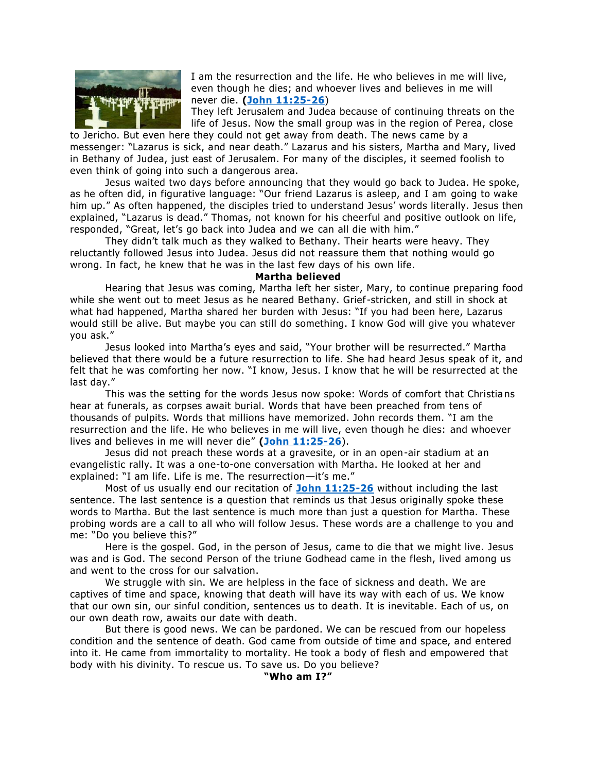

I am the resurrection and the life. He who believes in me will live, even though he dies; and whoever lives and believes in me will never die. **[\(John 11:25-26](https://biblia.com/bible/niv/John%2011.25-26)**)

They left Jerusalem and Judea because of continuing threats on the life of Jesus. Now the small group was in the region of Perea, close

to Jericho. But even here they could not get away from death. The news came by a messenger: "Lazarus is sick, and near death." Lazarus and his sisters, Martha and Mary, lived in Bethany of Judea, just east of Jerusalem. For many of the disciples, it seemed foolish to even think of going into such a dangerous area.

Jesus waited two days before announcing that they would go back to Judea. He spoke, as he often did, in figurative language: "Our friend Lazarus is asleep, and I am going to wake him up." As often happened, the disciples tried to understand Jesus' words literally. Jesus then explained, "Lazarus is dead." Thomas, not known for his cheerful and positive outlook on life, responded, "Great, let's go back into Judea and we can all die with him."

They didn't talk much as they walked to Bethany. Their hearts were heavy. They reluctantly followed Jesus into Judea. Jesus did not reassure them that nothing would go wrong. In fact, he knew that he was in the last few days of his own life.

**Martha believed**

Hearing that Jesus was coming, Martha left her sister, Mary, to continue preparing food while she went out to meet Jesus as he neared Bethany. Grief-stricken, and still in shock at what had happened, Martha shared her burden with Jesus: "If you had been here, Lazarus would still be alive. But maybe you can still do something. I know God will give you whatever you ask."

Jesus looked into Martha's eyes and said, "Your brother will be resurrected." Martha believed that there would be a future resurrection to life. She had heard Jesus speak of it, and felt that he was comforting her now. "I know, Jesus. I know that he will be resurrected at the last day."

This was the setting for the words Jesus now spoke: Words of comfort that Christia ns hear at funerals, as corpses await burial. Words that have been preached from tens of thousands of pulpits. Words that millions have memorized. John records them. "I am the resurrection and the life. He who believes in me will live, even though he dies: and whoever lives and believes in me will never die" **[\(John 11:25-26](https://biblia.com/bible/niv/John%2011.25-26)**).

Jesus did not preach these words at a gravesite, or in an open-air stadium at an evangelistic rally. It was a one-to-one conversation with Martha. He looked at her and explained: "I am life. Life is me. The resurrection—it's me."

Most of us usually end our recitation of **[John 11:25-26](https://biblia.com/bible/niv/John%2011.25-26)** without including the last sentence. The last sentence is a question that reminds us that Jesus originally spoke these words to Martha. But the last sentence is much more than just a question for Martha. These probing words are a call to all who will follow Jesus. These words are a challenge to you and me: "Do you believe this?"

Here is the gospel. God, in the person of Jesus, came to die that we might live. Jesus was and is God. The second Person of the triune Godhead came in the flesh, lived among us and went to the cross for our salvation.

We struggle with sin. We are helpless in the face of sickness and death. We are captives of time and space, knowing that death will have its way with each of us. We know that our own sin, our sinful condition, sentences us to death. It is inevitable. Each of us, on our own death row, awaits our date with death.

But there is good news. We can be pardoned. We can be rescued from our hopeless condition and the sentence of death. God came from outside of time and space, and entered into it. He came from immortality to mortality. He took a body of flesh and empowered that body with his divinity. To rescue us. To save us. Do you believe?

# **"Who am I?"**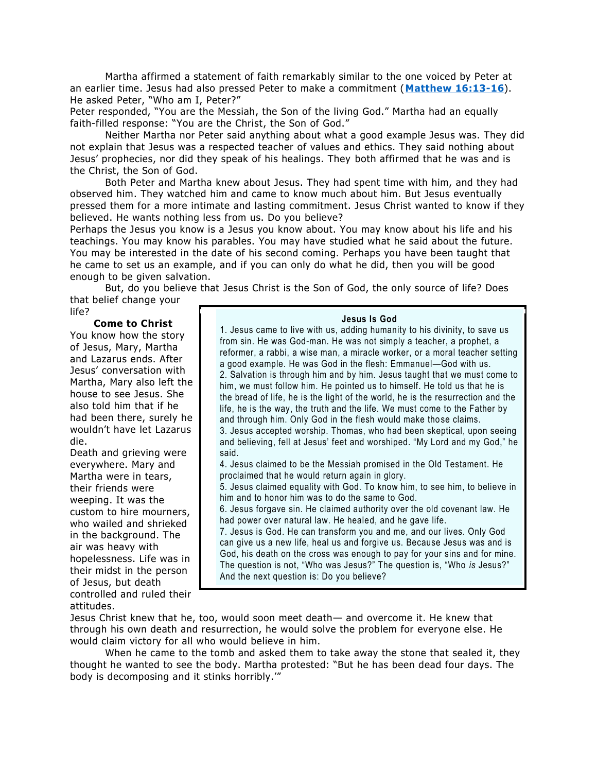Martha affirmed a statement of faith remarkably similar to the one voiced by Peter at an earlier time. Jesus had also pressed Peter to make a commitment (**[Matthew 16:13-16](https://biblia.com/bible/niv/Matt%2016.13-16)**). He asked Peter, "Who am I, Peter?"

Peter responded, "You are the Messiah, the Son of the living God." Martha had an equally faith-filled response: "You are the Christ, the Son of God."

Neither Martha nor Peter said anything about what a good example Jesus was. They did not explain that Jesus was a respected teacher of values and ethics. They said nothing about Jesus' prophecies, nor did they speak of his healings. They both affirmed that he was and is the Christ, the Son of God.

Both Peter and Martha knew about Jesus. They had spent time with him, and they had observed him. They watched him and came to know much about him. But Jesus eventually pressed them for a more intimate and lasting commitment. Jesus Christ wanted to know if they believed. He wants nothing less from us. Do you believe?

Perhaps the Jesus you know is a Jesus you know about. You may know about his life and his teachings. You may know his parables. You may have studied what he said about the future. You may be interested in the date of his second coming. Perhaps you have been taught that he came to set us an example, and if you can only do what he did, then you will be good enough to be given salvation.

But, do you believe that Jesus Christ is the Son of God, the only source of life? Does that belief change your

life?

### **Come to Christ**

You know how the story of Jesus, Mary, Martha and Lazarus ends. After Jesus' conversation with Martha, Mary also left the house to see Jesus. She also told him that if he had been there, surely he wouldn't have let Lazarus die.

Death and grieving were everywhere. Mary and Martha were in tears, their friends were weeping. It was the custom to hire mourners, who wailed and shrieked in the background. The air was heavy with hopelessness. Life was in their midst in the person of Jesus, but death controlled and ruled their attitudes.

### **Jesus Is God**

1. Jesus came to live with us, adding humanity to his divinity, to save us from sin. He was God-man. He was not simply a teacher, a prophet, a reformer, a rabbi, a wise man, a miracle worker, or a moral teacher setting a good example. He was God in the flesh: Emmanuel—God with us. 2. Salvation is through him and by him. Jesus taught that we must come to him, we must follow him. He pointed us to himself. He told us that he is the bread of life, he is the light of the world, he is the resurrection and the life, he is the way, the truth and the life. We must come to the Father by and through him. Only God in the flesh would make those claims. 3. Jesus accepted worship. Thomas, who had been skeptical, upon seeing

and believing, fell at Jesus' feet and worshiped. "My Lord and my God," he said.

4. Jesus claimed to be the Messiah promised in the Old Testament. He proclaimed that he would return again in glory.

5. Jesus claimed equality with God. To know him, to see him, to believe in him and to honor him was to do the same to God.

6. Jesus forgave sin. He claimed authority over the old covenant law. He had power over natural law. He healed, and he gave life.

7. Jesus is God. He can transform you and me, and our lives. Only God can give us a new life, heal us and forgive us. Because Jesus was and is God, his death on the cross was enough to pay for your sins and for mine. The question is not, "Who was Jesus?" The question is, "Who *is* Jesus?" And the next question is: Do you believe?

Jesus Christ knew that he, too, would soon meet death— and overcome it. He knew that through his own death and resurrection, he would solve the problem for everyone else. He would claim victory for all who would believe in him.

When he came to the tomb and asked them to take away the stone that sealed it, they thought he wanted to see the body. Martha protested: "But he has been dead four days. The body is decomposing and it stinks horribly.'"